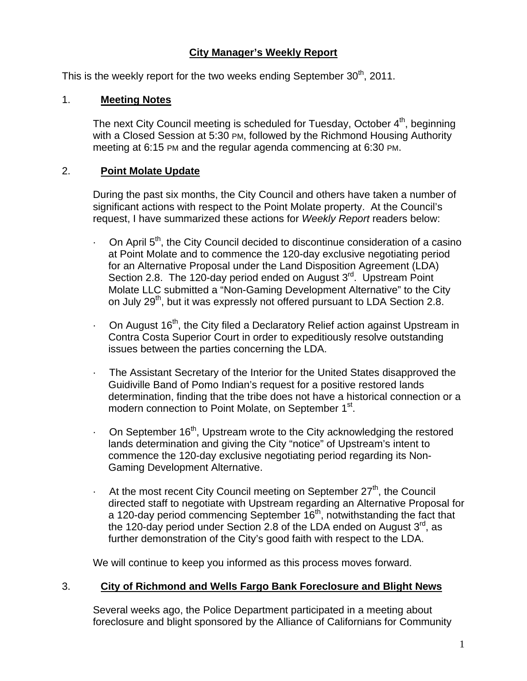### **City Manager's Weekly Report**

This is the weekly report for the two weeks ending September  $30<sup>th</sup>$ , 2011.

#### 1. **Meeting Notes**

The next City Council meeting is scheduled for Tuesday, October  $4<sup>th</sup>$ , beginning with a Closed Session at 5:30 PM, followed by the Richmond Housing Authority meeting at 6:15 PM and the regular agenda commencing at 6:30 PM.

#### 2. **Point Molate Update**

During the past six months, the City Council and others have taken a number of significant actions with respect to the Point Molate property. At the Council's request, I have summarized these actions for *Weekly Report* readers below:

- $\cdot$  On April 5<sup>th</sup>, the City Council decided to discontinue consideration of a casino at Point Molate and to commence the 120-day exclusive negotiating period for an Alternative Proposal under the Land Disposition Agreement (LDA) Section 2.8. The 120-day period ended on August 3<sup>rd</sup>. Upstream Point Molate LLC submitted a "Non-Gaming Development Alternative" to the City on July 29<sup>th</sup>, but it was expressly not offered pursuant to LDA Section 2.8.
- $\cdot$  On August 16<sup>th</sup>, the City filed a Declaratory Relief action against Upstream in Contra Costa Superior Court in order to expeditiously resolve outstanding issues between the parties concerning the LDA.
- · The Assistant Secretary of the Interior for the United States disapproved the Guidiville Band of Pomo Indian's request for a positive restored lands determination, finding that the tribe does not have a historical connection or a modern connection to Point Molate, on September 1<sup>st</sup>.
- $\cdot$  On September 16<sup>th</sup>, Upstream wrote to the City acknowledging the restored lands determination and giving the City "notice" of Upstream's intent to commence the 120-day exclusive negotiating period regarding its Non-Gaming Development Alternative.
- $\cdot$  At the most recent City Council meeting on September 27<sup>th</sup>, the Council directed staff to negotiate with Upstream regarding an Alternative Proposal for a 120-day period commencing September  $16<sup>th</sup>$ , notwithstanding the fact that the 120-day period under Section 2.8 of the LDA ended on August  $3<sup>rd</sup>$ , as further demonstration of the City's good faith with respect to the LDA.

We will continue to keep you informed as this process moves forward.

#### 3. **City of Richmond and Wells Fargo Bank Foreclosure and Blight News**

Several weeks ago, the Police Department participated in a meeting about foreclosure and blight sponsored by the Alliance of Californians for Community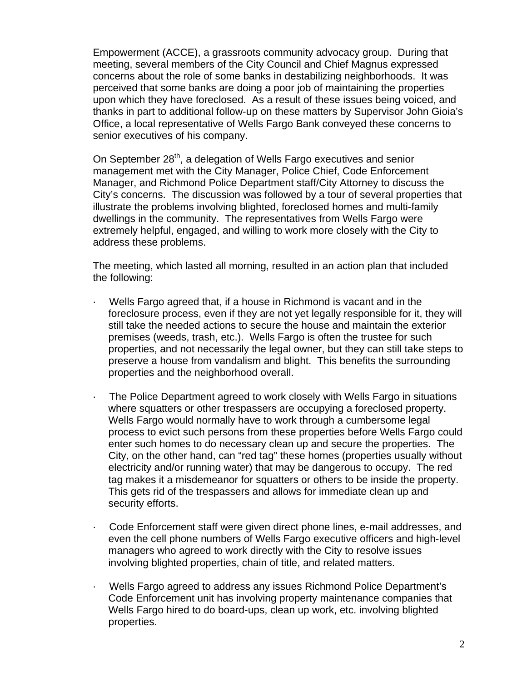Empowerment (ACCE), a grassroots community advocacy group. During that meeting, several members of the City Council and Chief Magnus expressed concerns about the role of some banks in destabilizing neighborhoods. It was perceived that some banks are doing a poor job of maintaining the properties upon which they have foreclosed. As a result of these issues being voiced, and thanks in part to additional follow-up on these matters by Supervisor John Gioia's Office, a local representative of Wells Fargo Bank conveyed these concerns to senior executives of his company.

On September 28<sup>th</sup>, a delegation of Wells Fargo executives and senior management met with the City Manager, Police Chief, Code Enforcement Manager, and Richmond Police Department staff/City Attorney to discuss the City's concerns. The discussion was followed by a tour of several properties that illustrate the problems involving blighted, foreclosed homes and multi-family dwellings in the community. The representatives from Wells Fargo were extremely helpful, engaged, and willing to work more closely with the City to address these problems.

The meeting, which lasted all morning, resulted in an action plan that included the following:

- · Wells Fargo agreed that, if a house in Richmond is vacant and in the foreclosure process, even if they are not yet legally responsible for it, they will still take the needed actions to secure the house and maintain the exterior premises (weeds, trash, etc.). Wells Fargo is often the trustee for such properties, and not necessarily the legal owner, but they can still take steps to preserve a house from vandalism and blight. This benefits the surrounding properties and the neighborhood overall.
- · The Police Department agreed to work closely with Wells Fargo in situations where squatters or other trespassers are occupying a foreclosed property. Wells Fargo would normally have to work through a cumbersome legal process to evict such persons from these properties before Wells Fargo could enter such homes to do necessary clean up and secure the properties. The City, on the other hand, can "red tag" these homes (properties usually without electricity and/or running water) that may be dangerous to occupy. The red tag makes it a misdemeanor for squatters or others to be inside the property. This gets rid of the trespassers and allows for immediate clean up and security efforts.
- · Code Enforcement staff were given direct phone lines, e-mail addresses, and even the cell phone numbers of Wells Fargo executive officers and high-level managers who agreed to work directly with the City to resolve issues involving blighted properties, chain of title, and related matters.
- · Wells Fargo agreed to address any issues Richmond Police Department's Code Enforcement unit has involving property maintenance companies that Wells Fargo hired to do board-ups, clean up work, etc. involving blighted properties.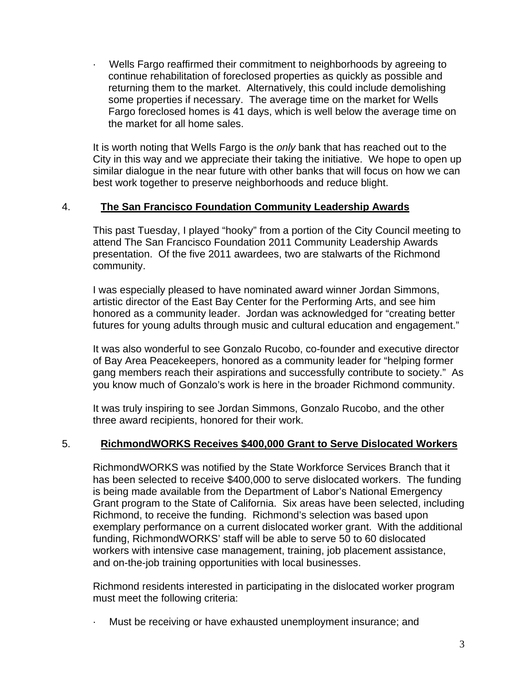· Wells Fargo reaffirmed their commitment to neighborhoods by agreeing to continue rehabilitation of foreclosed properties as quickly as possible and returning them to the market. Alternatively, this could include demolishing some properties if necessary. The average time on the market for Wells Fargo foreclosed homes is 41 days, which is well below the average time on the market for all home sales.

It is worth noting that Wells Fargo is the *only* bank that has reached out to the City in this way and we appreciate their taking the initiative. We hope to open up similar dialogue in the near future with other banks that will focus on how we can best work together to preserve neighborhoods and reduce blight.

#### 4. **The San Francisco Foundation Community Leadership Awards**

This past Tuesday, I played "hooky" from a portion of the City Council meeting to attend The San Francisco Foundation 2011 Community Leadership Awards presentation. Of the five 2011 awardees, two are stalwarts of the Richmond community.

I was especially pleased to have nominated award winner Jordan Simmons, artistic director of the East Bay Center for the Performing Arts, and see him honored as a community leader. Jordan was acknowledged for "creating better futures for young adults through music and cultural education and engagement."

It was also wonderful to see Gonzalo Rucobo, co-founder and executive director of Bay Area Peacekeepers, honored as a community leader for "helping former gang members reach their aspirations and successfully contribute to society." As you know much of Gonzalo's work is here in the broader Richmond community.

It was truly inspiring to see Jordan Simmons, Gonzalo Rucobo, and the other three award recipients, honored for their work.

#### 5. **RichmondWORKS Receives \$400,000 Grant to Serve Dislocated Workers**

RichmondWORKS was notified by the State Workforce Services Branch that it has been selected to receive \$400,000 to serve dislocated workers. The funding is being made available from the Department of Labor's National Emergency Grant program to the State of California. Six areas have been selected, including Richmond, to receive the funding. Richmond's selection was based upon exemplary performance on a current dislocated worker grant. With the additional funding, RichmondWORKS' staff will be able to serve 50 to 60 dislocated workers with intensive case management, training, job placement assistance, and on-the-job training opportunities with local businesses.

Richmond residents interested in participating in the dislocated worker program must meet the following criteria:

· Must be receiving or have exhausted unemployment insurance; and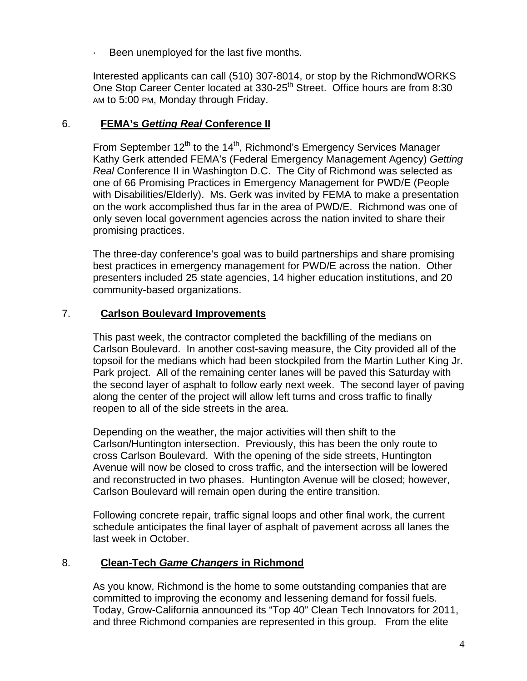Been unemployed for the last five months.

Interested applicants can call (510) 307-8014, or stop by the RichmondWORKS One Stop Career Center located at 330-25<sup>th</sup> Street. Office hours are from 8:30 AM to 5:00 PM, Monday through Friday.

### 6. **FEMA's** *Getting Real* **Conference II**

From September  $12^{th}$  to the  $14^{th}$ . Richmond's Emergency Services Manager Kathy Gerk attended FEMA's (Federal Emergency Management Agency) *Getting Real* Conference II in Washington D.C. The City of Richmond was selected as one of 66 Promising Practices in Emergency Management for PWD/E (People with Disabilities/Elderly). Ms. Gerk was invited by FEMA to make a presentation on the work accomplished thus far in the area of PWD/E. Richmond was one of only seven local government agencies across the nation invited to share their promising practices.

The three-day conference's goal was to build partnerships and share promising best practices in emergency management for PWD/E across the nation. Other presenters included 25 state agencies, 14 higher education institutions, and 20 community-based organizations.

### 7. **Carlson Boulevard Improvements**

This past week, the contractor completed the backfilling of the medians on Carlson Boulevard. In another cost-saving measure, the City provided all of the topsoil for the medians which had been stockpiled from the Martin Luther King Jr. Park project. All of the remaining center lanes will be paved this Saturday with the second layer of asphalt to follow early next week. The second layer of paving along the center of the project will allow left turns and cross traffic to finally reopen to all of the side streets in the area.

Depending on the weather, the major activities will then shift to the Carlson/Huntington intersection. Previously, this has been the only route to cross Carlson Boulevard. With the opening of the side streets, Huntington Avenue will now be closed to cross traffic, and the intersection will be lowered and reconstructed in two phases. Huntington Avenue will be closed; however, Carlson Boulevard will remain open during the entire transition.

Following concrete repair, traffic signal loops and other final work, the current schedule anticipates the final layer of asphalt of pavement across all lanes the last week in October.

### 8. **Clean-Tech** *Game Changers* **in Richmond**

As you know, Richmond is the home to some outstanding companies that are committed to improving the economy and lessening demand for fossil fuels. Today, Grow-California announced its "Top 40" Clean Tech Innovators for 2011, and three Richmond companies are represented in this group. From the elite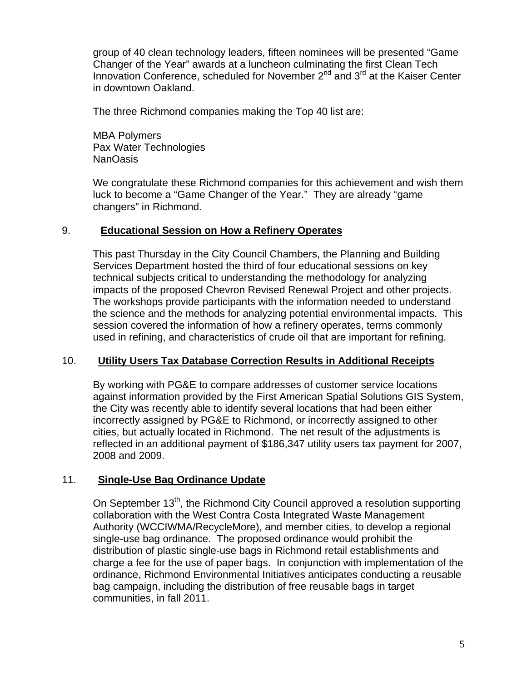group of 40 clean technology leaders, fifteen nominees will be presented "Game Changer of the Year" awards at a luncheon culminating the first Clean Tech Innovation Conference, scheduled for November  $2^{nd}$  and  $3^{rd}$  at the Kaiser Center in downtown Oakland.

The three Richmond companies making the Top 40 list are:

MBA Polymers Pax Water Technologies NanOasis

We congratulate these Richmond companies for this achievement and wish them luck to become a "Game Changer of the Year." They are already "game changers" in Richmond.

#### 9. **Educational Session on How a Refinery Operates**

This past Thursday in the City Council Chambers, the Planning and Building Services Department hosted the third of four educational sessions on key technical subjects critical to understanding the methodology for analyzing impacts of the proposed Chevron Revised Renewal Project and other projects. The workshops provide participants with the information needed to understand the science and the methods for analyzing potential environmental impacts. This session covered the information of how a refinery operates, terms commonly used in refining, and characteristics of crude oil that are important for refining.

#### 10. **Utility Users Tax Database Correction Results in Additional Receipts**

By working with PG&E to compare addresses of customer service locations against information provided by the First American Spatial Solutions GIS System, the City was recently able to identify several locations that had been either incorrectly assigned by PG&E to Richmond, or incorrectly assigned to other cities, but actually located in Richmond. The net result of the adjustments is reflected in an additional payment of \$186,347 utility users tax payment for 2007, 2008 and 2009.

### 11. **Single-Use Bag Ordinance Update**

On September  $13<sup>th</sup>$ , the Richmond City Council approved a resolution supporting collaboration with the West Contra Costa Integrated Waste Management Authority (WCCIWMA/RecycleMore), and member cities, to develop a regional single-use bag ordinance. The proposed ordinance would prohibit the distribution of plastic single-use bags in Richmond retail establishments and charge a fee for the use of paper bags. In conjunction with implementation of the ordinance, Richmond Environmental Initiatives anticipates conducting a reusable bag campaign, including the distribution of free reusable bags in target communities, in fall 2011.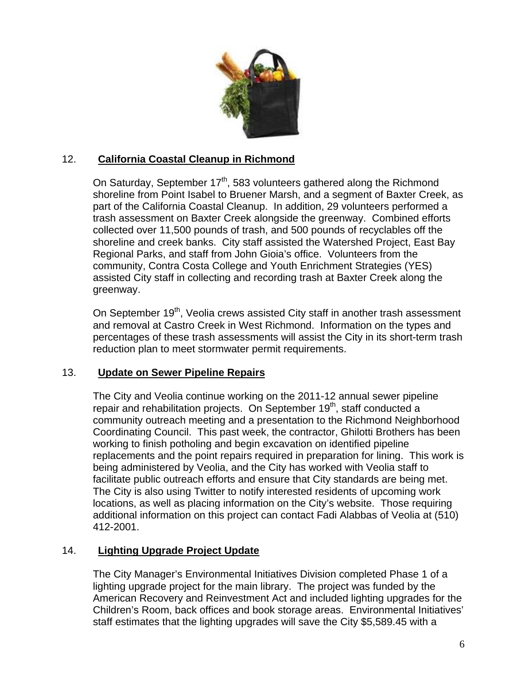

## 12. **California Coastal Cleanup in Richmond**

On Saturday, September  $17<sup>th</sup>$ , 583 volunteers gathered along the Richmond shoreline from Point Isabel to Bruener Marsh, and a segment of Baxter Creek, as part of the California Coastal Cleanup. In addition, 29 volunteers performed a trash assessment on Baxter Creek alongside the greenway. Combined efforts collected over 11,500 pounds of trash, and 500 pounds of recyclables off the shoreline and creek banks. City staff assisted the Watershed Project, East Bay Regional Parks, and staff from John Gioia's office. Volunteers from the community, Contra Costa College and Youth Enrichment Strategies (YES) assisted City staff in collecting and recording trash at Baxter Creek along the greenway.

On September 19<sup>th</sup>, Veolia crews assisted City staff in another trash assessment and removal at Castro Creek in West Richmond. Information on the types and percentages of these trash assessments will assist the City in its short-term trash reduction plan to meet stormwater permit requirements.

### 13. **Update on Sewer Pipeline Repairs**

The City and Veolia continue working on the 2011-12 annual sewer pipeline repair and rehabilitation projects. On September 19<sup>th</sup>, staff conducted a community outreach meeting and a presentation to the Richmond Neighborhood Coordinating Council. This past week, the contractor, Ghilotti Brothers has been working to finish potholing and begin excavation on identified pipeline replacements and the point repairs required in preparation for lining. This work is being administered by Veolia, and the City has worked with Veolia staff to facilitate public outreach efforts and ensure that City standards are being met. The City is also using Twitter to notify interested residents of upcoming work locations, as well as placing information on the City's website. Those requiring additional information on this project can contact Fadi Alabbas of Veolia at (510) 412-2001.

# 14. **Lighting Upgrade Project Update**

The City Manager's Environmental Initiatives Division completed Phase 1 of a lighting upgrade project for the main library. The project was funded by the American Recovery and Reinvestment Act and included lighting upgrades for the Children's Room, back offices and book storage areas. Environmental Initiatives' staff estimates that the lighting upgrades will save the City \$5,589.45 with a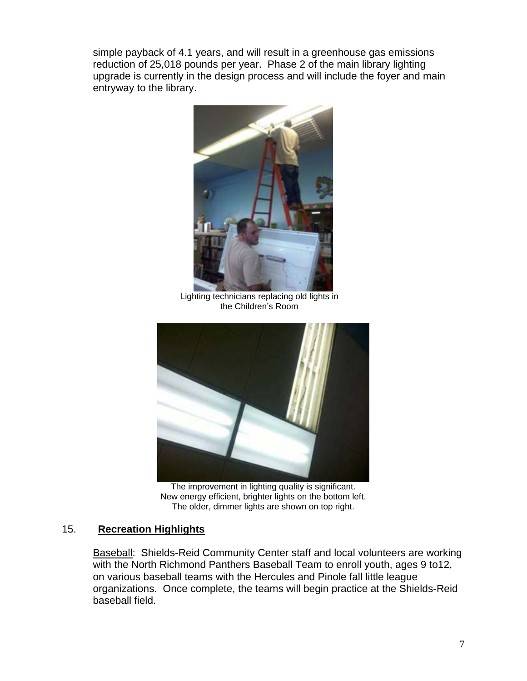simple payback of 4.1 years, and will result in a greenhouse gas emissions reduction of 25,018 pounds per year. Phase 2 of the main library lighting upgrade is currently in the design process and will include the foyer and main entryway to the library.



Lighting technicians replacing old lights in the Children's Room



The improvement in lighting quality is significant. New energy efficient, brighter lights on the bottom left. The older, dimmer lights are shown on top right.

### 15. **Recreation Highlights**

Baseball: Shields-Reid Community Center staff and local volunteers are working with the North Richmond Panthers Baseball Team to enroll youth, ages 9 to12, on various baseball teams with the Hercules and Pinole fall little league organizations. Once complete, the teams will begin practice at the Shields-Reid baseball field.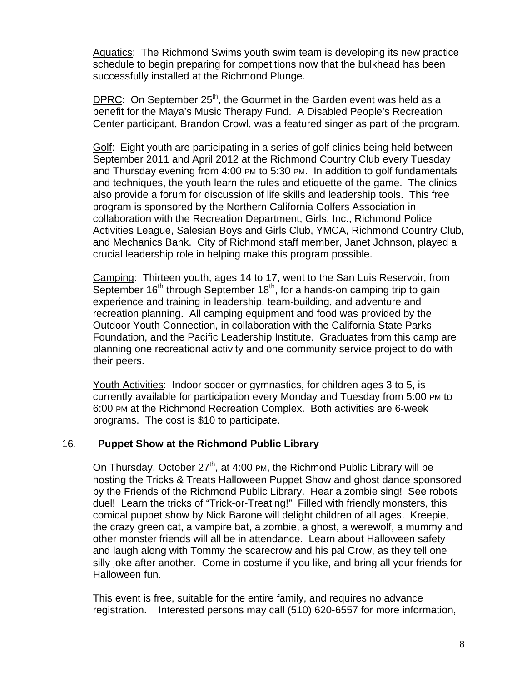Aquatics: The Richmond Swims youth swim team is developing its new practice schedule to begin preparing for competitions now that the bulkhead has been successfully installed at the Richmond Plunge.

DPRC: On September  $25<sup>th</sup>$ , the Gourmet in the Garden event was held as a benefit for the Maya's Music Therapy Fund. A Disabled People's Recreation Center participant, Brandon Crowl, was a featured singer as part of the program.

Golf: Eight youth are participating in a series of golf clinics being held between September 2011 and April 2012 at the Richmond Country Club every Tuesday and Thursday evening from 4:00 PM to 5:30 PM. In addition to golf fundamentals and techniques, the youth learn the rules and etiquette of the game. The clinics also provide a forum for discussion of life skills and leadership tools. This free program is sponsored by the Northern California Golfers Association in collaboration with the Recreation Department, Girls, Inc., Richmond Police Activities League, Salesian Boys and Girls Club, YMCA, Richmond Country Club, and Mechanics Bank. City of Richmond staff member, Janet Johnson, played a crucial leadership role in helping make this program possible.

Camping: Thirteen youth, ages 14 to 17, went to the San Luis Reservoir, from September  $16<sup>th</sup>$  through September  $18<sup>th</sup>$ , for a hands-on camping trip to gain experience and training in leadership, team-building, and adventure and recreation planning. All camping equipment and food was provided by the Outdoor Youth Connection, in collaboration with the California State Parks Foundation, and the Pacific Leadership Institute. Graduates from this camp are planning one recreational activity and one community service project to do with their peers.

Youth Activities: Indoor soccer or gymnastics, for children ages 3 to 5, is currently available for participation every Monday and Tuesday from 5:00 PM to 6:00 PM at the Richmond Recreation Complex. Both activities are 6-week programs. The cost is \$10 to participate.

#### 16. **Puppet Show at the Richmond Public Library**

On Thursday, October  $27<sup>th</sup>$ , at 4:00 PM, the Richmond Public Library will be hosting the Tricks & Treats Halloween Puppet Show and ghost dance sponsored by the Friends of the Richmond Public Library. Hear a zombie sing! See robots duel! Learn the tricks of "Trick-or-Treating!" Filled with friendly monsters, this comical puppet show by Nick Barone will delight children of all ages. Kreepie, the crazy green cat, a vampire bat, a zombie, a ghost, a werewolf, a mummy and other monster friends will all be in attendance. Learn about Halloween safety and laugh along with Tommy the scarecrow and his pal Crow, as they tell one silly joke after another. Come in costume if you like, and bring all your friends for Halloween fun.

This event is free, suitable for the entire family, and requires no advance registration. Interested persons may call (510) 620-6557 for more information,